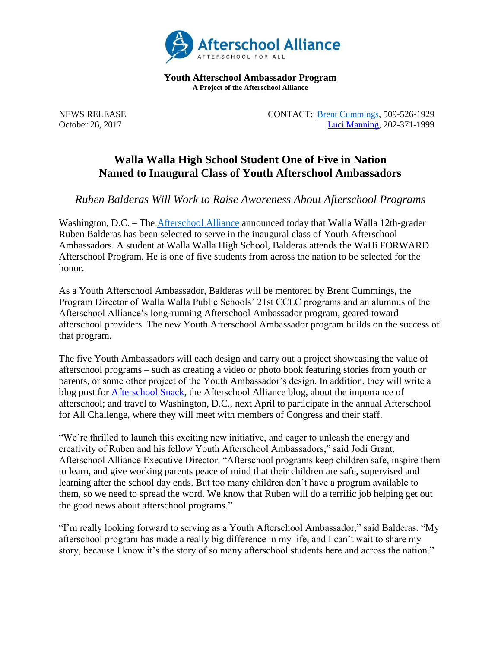

**Youth Afterschool Ambassador Program A Project of the Afterschool Alliance**

NEWS RELEASE CONTACT: [Brent Cummings,](mailto:bcummings@wwps.org) 509-526-1929 October 26, 2017 [Luci Manning,](mailto:luci@prsolutionsdc.com?subject=2017-18%20Ambassador:%20) 202-371-1999

## **Walla Walla High School Student One of Five in Nation Named to Inaugural Class of Youth Afterschool Ambassadors**

*Ruben Balderas Will Work to Raise Awareness About Afterschool Programs*

Washington, D.C. – The [Afterschool Alliance](http://www.afterschoolalliance.org/) announced today that Walla Walla 12th-grader Ruben Balderas has been selected to serve in the inaugural class of Youth Afterschool Ambassadors. A student at Walla Walla High School, Balderas attends the WaHi FORWARD Afterschool Program. He is one of five students from across the nation to be selected for the honor.

As a Youth Afterschool Ambassador, Balderas will be mentored by Brent Cummings, the Program Director of Walla Walla Public Schools' 21st CCLC programs and an alumnus of the Afterschool Alliance's long-running Afterschool Ambassador program, geared toward afterschool providers. The new Youth Afterschool Ambassador program builds on the success of that program.

The five Youth Ambassadors will each design and carry out a project showcasing the value of afterschool programs – such as creating a video or photo book featuring stories from youth or parents, or some other project of the Youth Ambassador's design. In addition, they will write a blog post for [Afterschool Snack,](http://www.afterschoolalliance.org/afterschoolsnack/ASnack.cfm) the Afterschool Alliance blog, about the importance of afterschool; and travel to Washington, D.C., next April to participate in the annual Afterschool for All Challenge, where they will meet with members of Congress and their staff.

"We're thrilled to launch this exciting new initiative, and eager to unleash the energy and creativity of Ruben and his fellow Youth Afterschool Ambassadors," said Jodi Grant, Afterschool Alliance Executive Director. "Afterschool programs keep children safe, inspire them to learn, and give working parents peace of mind that their children are safe, supervised and learning after the school day ends. But too many children don't have a program available to them, so we need to spread the word. We know that Ruben will do a terrific job helping get out the good news about afterschool programs."

"I'm really looking forward to serving as a Youth Afterschool Ambassador," said Balderas. "My afterschool program has made a really big difference in my life, and I can't wait to share my story, because I know it's the story of so many afterschool students here and across the nation."